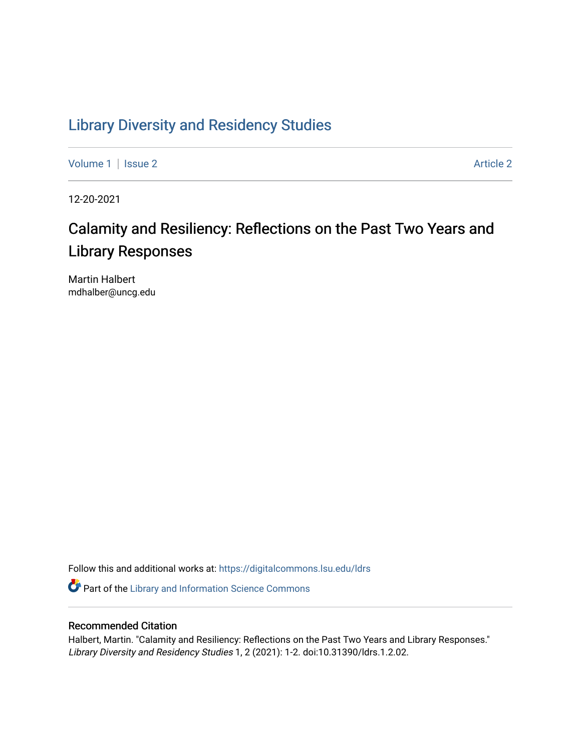## [Library Diversity and Residency Studies](https://digitalcommons.lsu.edu/ldrs)

[Volume 1](https://digitalcommons.lsu.edu/ldrs/vol1) | [Issue 2](https://digitalcommons.lsu.edu/ldrs/vol1/iss2) Article 2

12-20-2021

# Calamity and Resiliency: Reflections on the Past Two Years and Library Responses

Martin Halbert mdhalber@uncg.edu

Follow this and additional works at: [https://digitalcommons.lsu.edu/ldrs](https://digitalcommons.lsu.edu/ldrs?utm_source=digitalcommons.lsu.edu%2Fldrs%2Fvol1%2Fiss2%2F2&utm_medium=PDF&utm_campaign=PDFCoverPages) 

Part of the [Library and Information Science Commons](http://network.bepress.com/hgg/discipline/1018?utm_source=digitalcommons.lsu.edu%2Fldrs%2Fvol1%2Fiss2%2F2&utm_medium=PDF&utm_campaign=PDFCoverPages) 

## Recommended Citation

Halbert, Martin. "Calamity and Resiliency: Reflections on the Past Two Years and Library Responses." Library Diversity and Residency Studies 1, 2 (2021): 1-2. doi:10.31390/ldrs.1.2.02.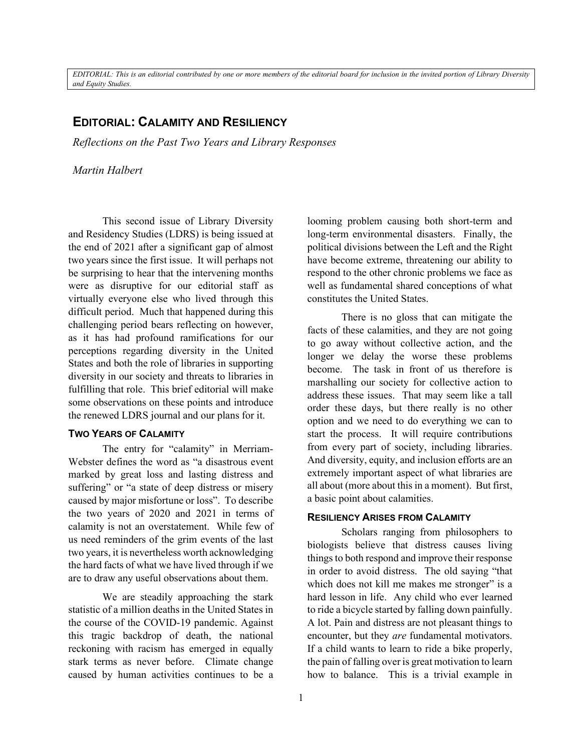*EDITORIAL: This is an editorial contributed by one or more members of the editorial board for inclusion in the invited portion of Library Diversity and Equity Studies.*

## **EDITORIAL: CALAMITY AND RESILIENCY**

*Reflections on the Past Two Years and Library Responses*

*Martin Halbert*

This second issue of Library Diversity and Residency Studies (LDRS) is being issued at the end of 2021 after a significant gap of almost two years since the first issue. It will perhaps not be surprising to hear that the intervening months were as disruptive for our editorial staff as virtually everyone else who lived through this difficult period. Much that happened during this challenging period bears reflecting on however, as it has had profound ramifications for our perceptions regarding diversity in the United States and both the role of libraries in supporting diversity in our society and threats to libraries in fulfilling that role. This brief editorial will make some observations on these points and introduce the renewed LDRS journal and our plans for it.

#### **TWO YEARS OF CALAMITY**

The entry for "calamity" in Merriam-Webster defines the word as "a disastrous event marked by great loss and lasting distress and suffering" or "a state of deep distress or misery caused by major misfortune or loss". To describe the two years of 2020 and 2021 in terms of calamity is not an overstatement. While few of us need reminders of the grim events of the last two years, it is nevertheless worth acknowledging the hard facts of what we have lived through if we are to draw any useful observations about them.

We are steadily approaching the stark statistic of a million deaths in the United States in the course of the COVID-19 pandemic. Against this tragic backdrop of death, the national reckoning with racism has emerged in equally stark terms as never before. Climate change caused by human activities continues to be a

looming problem causing both short-term and long-term environmental disasters. Finally, the political divisions between the Left and the Right have become extreme, threatening our ability to respond to the other chronic problems we face as well as fundamental shared conceptions of what constitutes the United States.

There is no gloss that can mitigate the facts of these calamities, and they are not going to go away without collective action, and the longer we delay the worse these problems become. The task in front of us therefore is marshalling our society for collective action to address these issues. That may seem like a tall order these days, but there really is no other option and we need to do everything we can to start the process. It will require contributions from every part of society, including libraries. And diversity, equity, and inclusion efforts are an extremely important aspect of what libraries are all about (more about this in a moment). But first, a basic point about calamities.

#### **RESILIENCY ARISES FROM CALAMITY**

Scholars ranging from philosophers to biologists believe that distress causes living things to both respond and improve their response in order to avoid distress. The old saying "that which does not kill me makes me stronger" is a hard lesson in life. Any child who ever learned to ride a bicycle started by falling down painfully. A lot. Pain and distress are not pleasant things to encounter, but they *are* fundamental motivators. If a child wants to learn to ride a bike properly, the pain of falling over is great motivation to learn how to balance. This is a trivial example in